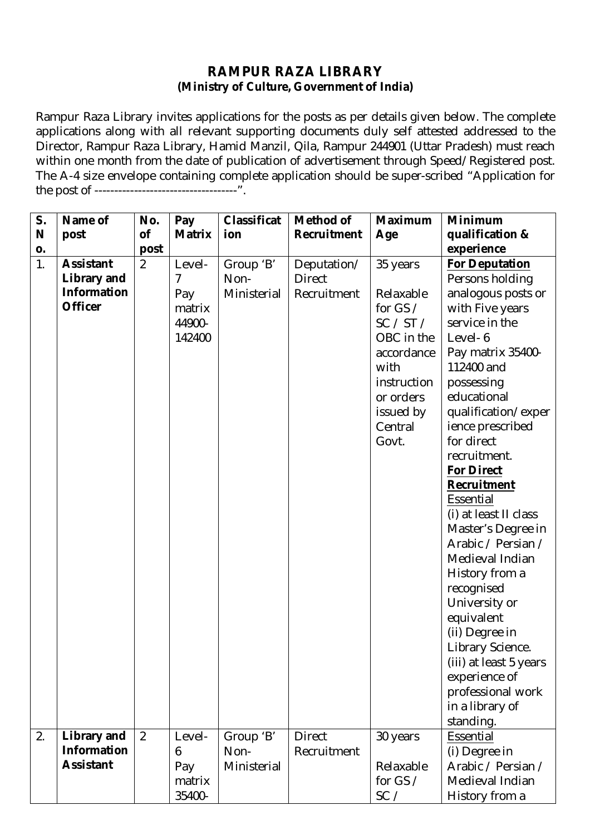## **RAMPUR RAZA LIBRARY (Ministry of Culture, Government of India)**

Rampur Raza Library invites applications for the posts as per details given below. The complete applications along with all relevant supporting documents duly self attested addressed to the Director, Rampur Raza Library, Hamid Manzil, Qila, Rampur 244901 (Uttar Pradesh) must reach within one month from the date of publication of advertisement through Speed/Registered post. The A-4 size envelope containing complete application should be super-scribed "Application for the post of ------------------------------------".

| S. | Name of            | No.            | Pay            | Classificat | <b>Method of</b>   | <b>Maximum</b> | <b>Minimum</b>         |  |
|----|--------------------|----------------|----------------|-------------|--------------------|----------------|------------------------|--|
| N  | post               | of             | <b>Matrix</b>  | ion         | <b>Recruitment</b> | Age            | qualification &        |  |
| 0. |                    | post           |                |             |                    |                | experience             |  |
| 1. | <b>Assistant</b>   | $\overline{2}$ | Level-         | Group 'B'   | Deputation/        | 35 years       | <b>For Deputation</b>  |  |
|    | <b>Library and</b> |                | $\overline{7}$ | Non-        | <b>Direct</b>      |                | Persons holding        |  |
|    | <b>Information</b> |                | Pay            | Ministerial | Recruitment        | Relaxable      | analogous posts or     |  |
|    | <b>Officer</b>     |                | matrix         |             |                    | for $GS/$      | with Five years        |  |
|    |                    |                | 44900-         |             |                    | SC / ST /      | service in the         |  |
|    |                    |                | 142400         |             |                    | OBC in the     | Level-6                |  |
|    |                    |                |                |             |                    | accordance     | Pay matrix 35400-      |  |
|    |                    |                |                |             |                    | with           | 112400 and             |  |
|    |                    |                |                |             |                    | instruction    | possessing             |  |
|    |                    |                |                |             |                    | or orders      | educational            |  |
|    |                    |                |                |             |                    | issued by      | qualification/exper    |  |
|    |                    |                |                |             |                    | Central        | ience prescribed       |  |
|    |                    |                |                |             |                    | Govt.          | for direct             |  |
|    |                    |                |                |             |                    |                | recruitment.           |  |
|    |                    |                |                |             |                    |                | <b>For Direct</b>      |  |
|    |                    |                |                |             |                    |                | Recruitment            |  |
|    |                    |                |                |             |                    |                | Essential              |  |
|    |                    |                |                |             |                    |                | (i) at least II class  |  |
|    |                    |                |                |             |                    |                | Master's Degree in     |  |
|    |                    |                |                |             |                    |                | Arabic / Persian /     |  |
|    |                    |                |                |             |                    |                | Medieval Indian        |  |
|    |                    |                |                |             |                    |                | History from a         |  |
|    |                    |                |                |             |                    |                | recognised             |  |
|    |                    |                |                |             |                    |                | University or          |  |
|    |                    |                |                |             |                    |                | equivalent             |  |
|    |                    |                |                |             |                    |                | (ii) Degree in         |  |
|    |                    |                |                |             |                    |                | Library Science.       |  |
|    |                    |                |                |             |                    |                | (iii) at least 5 years |  |
|    |                    |                |                |             |                    |                | experience of          |  |
|    |                    |                |                |             |                    |                | professional work      |  |
|    |                    |                |                |             |                    |                | in a library of        |  |
|    |                    |                |                |             |                    |                | standing.              |  |
| 2. | <b>Library and</b> | 2              | Level-         | Group 'B'   | <b>Direct</b>      | 30 years       | Essential              |  |
|    | <b>Information</b> |                | 6              | Non-        | Recruitment        |                | (i) Degree in          |  |
|    | <b>Assistant</b>   |                | Pay            | Ministerial |                    | Relaxable      | Arabic / Persian /     |  |
|    |                    |                | matrix         |             |                    | for $GS /$     | Medieval Indian        |  |
|    |                    |                | 35400-         |             |                    | SC /           | History from a         |  |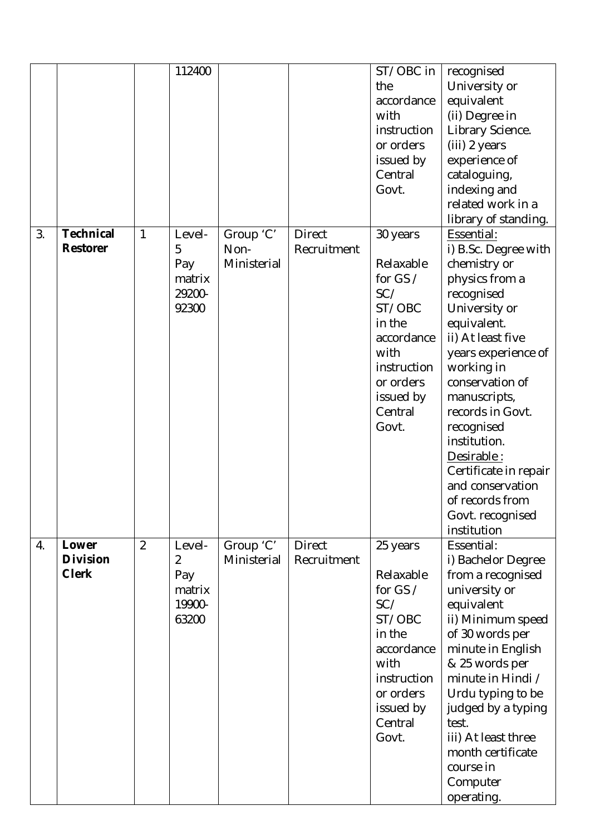|    |                                          |                | 112400                                          |                                  |                              | ST/OBC in<br>the<br>accordance<br>with<br>instruction<br>or orders<br>issued by<br>Central<br>Govt.                                               | recognised<br>University or<br>equivalent<br>(ii) Degree in<br>Library Science.<br>(iii) 2 years<br>experience of<br>cataloguing,<br>indexing and<br>related work in a<br>library of standing.                                                                                                                                                                                     |
|----|------------------------------------------|----------------|-------------------------------------------------|----------------------------------|------------------------------|---------------------------------------------------------------------------------------------------------------------------------------------------|------------------------------------------------------------------------------------------------------------------------------------------------------------------------------------------------------------------------------------------------------------------------------------------------------------------------------------------------------------------------------------|
| 3. | <b>Technical</b><br><b>Restorer</b>      | 1              | Level-<br>5<br>Pay<br>matrix<br>29200-<br>92300 | Group 'C'<br>Non-<br>Ministerial | <b>Direct</b><br>Recruitment | 30 years<br>Relaxable<br>for GS $/$<br>SC/<br>ST/OBC<br>in the<br>accordance<br>with<br>instruction<br>or orders<br>issued by<br>Central<br>Govt. | Essential:<br>i) B.Sc. Degree with<br>chemistry or<br>physics from a<br>recognised<br>University or<br>equivalent.<br>ii) At least five<br>years experience of<br>working in<br>conservation of<br>manuscripts,<br>records in Govt.<br>recognised<br>institution.<br>Desirable:<br>Certificate in repair<br>and conservation<br>of records from<br>Govt. recognised<br>institution |
| 4. | Lower<br><b>Division</b><br><b>Clerk</b> | $\overline{2}$ | Level-<br>2<br>Pay<br>matrix<br>19900-<br>63200 | Group 'C'<br>Ministerial         | <b>Direct</b><br>Recruitment | 25 years<br>Relaxable<br>for GS $/$<br>SC/<br>ST/OBC<br>in the<br>accordance<br>with<br>instruction<br>or orders<br>issued by<br>Central<br>Govt. | Essential:<br>i) Bachelor Degree<br>from a recognised<br>university or<br>equivalent<br>ii) Minimum speed<br>of 30 words per<br>minute in English<br>& 25 words per<br>minute in Hindi /<br>Urdu typing to be<br>judged by a typing<br>test.<br>iii) At least three<br>month certificate<br>course in<br>Computer<br>operating.                                                    |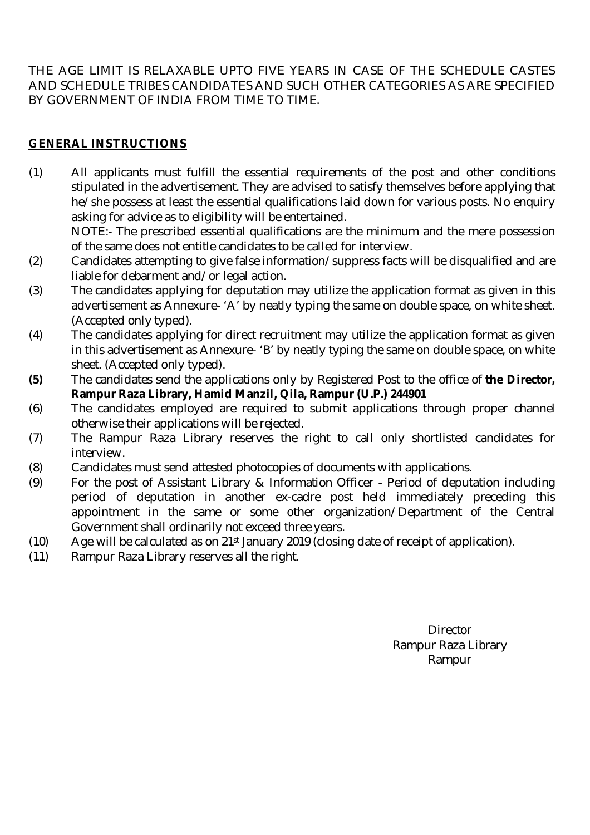THE AGE LIMIT IS RELAXABLE UPTO FIVE YEARS IN CASE OF THE SCHEDULE CASTES AND SCHEDULE TRIBES CANDIDATES AND SUCH OTHER CATEGORIES AS ARE SPECIFIED BY GOVERNMENT OF INDIA FROM TIME TO TIME.

# **GENERAL INSTRUCTIONS**

(1) All applicants must fulfill the essential requirements of the post and other conditions stipulated in the advertisement. They are advised to satisfy themselves before applying that he/she possess at least the essential qualifications laid down for various posts. No enquiry asking for advice as to eligibility will be entertained.

NOTE:- The prescribed essential qualifications are the minimum and the mere possession of the same does not entitle candidates to be called for interview.

- (2) Candidates attempting to give false information/suppress facts will be disqualified and are liable for debarment and/or legal action.
- (3) The candidates applying for deputation may utilize the application format as given in this advertisement as Annexure- 'A' by neatly typing the same on double space, on white sheet. (Accepted only typed).
- (4) The candidates applying for direct recruitment may utilize the application format as given in this advertisement as Annexure- 'B' by neatly typing the same on double space, on white sheet. (Accepted only typed).
- **(5)** The candidates send the applications only by Registered Post to the office of **the Director, Rampur Raza Library, Hamid Manzil, Qila, Rampur (U.P.) 244901**
- (6) The candidates employed are required to submit applications through proper channel otherwise their applications will be rejected.
- (7) The Rampur Raza Library reserves the right to call only shortlisted candidates for interview.
- (8) Candidates must send attested photocopies of documents with applications.
- (9) For the post of Assistant Library & Information Officer Period of deputation including period of deputation in another ex-cadre post held immediately preceding this appointment in the same or some other organization/Department of the Central Government shall ordinarily not exceed three years.
- (10) Age will be calculated as on  $21^{st}$  January 2019 (closing date of receipt of application).
- (11) Rampur Raza Library reserves all the right.

**Director** Rampur Raza Library Rampur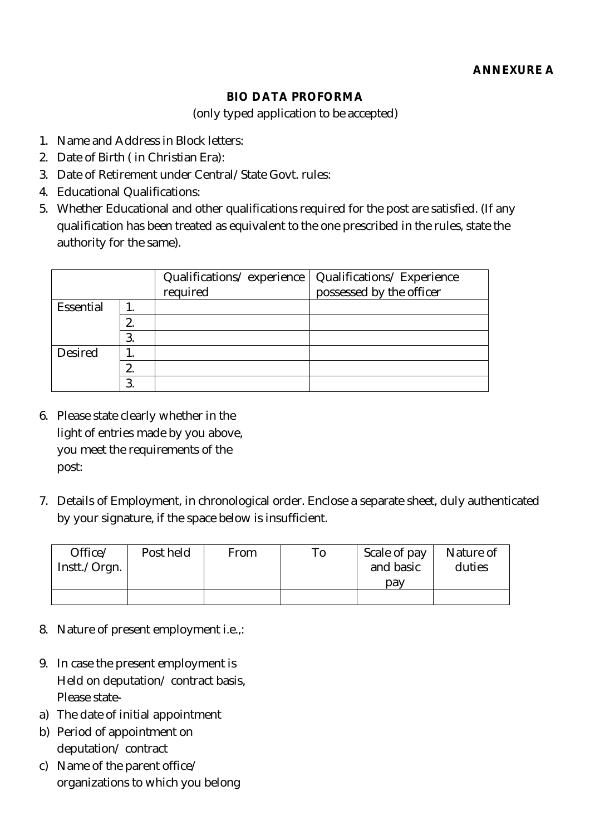## **BIO DATA PROFORMA**

(only typed application to be accepted)

- 1. Name and Address in Block letters:
- 2. Date of Birth ( in Christian Era):
- 3. Date of Retirement under Central/State Govt. rules:
- 4. Educational Qualifications:
- 5. Whether Educational and other qualifications required for the post are satisfied. (If any qualification has been treated as equivalent to the one prescribed in the rules, state the authority for the same).

|                |    | Qualifications/experience<br>required | Qualifications/Experience<br>possessed by the officer |
|----------------|----|---------------------------------------|-------------------------------------------------------|
| Essential      |    |                                       |                                                       |
|                |    |                                       |                                                       |
|                | 3. |                                       |                                                       |
| <b>Desired</b> |    |                                       |                                                       |
|                |    |                                       |                                                       |
|                |    |                                       |                                                       |

- 6. Please state clearly whether in the light of entries made by you above, you meet the requirements of the post:
- 7. Details of Employment, in chronological order. Enclose a separate sheet, duly authenticated by your signature, if the space below is insufficient.

| Office/<br>Instt./Orgn. | Post held | From | Γо | Scale of pay<br>and basic<br>pav | Nature of<br>duties |
|-------------------------|-----------|------|----|----------------------------------|---------------------|
|                         |           |      |    |                                  |                     |
|                         |           |      |    |                                  |                     |

- 8. Nature of present employment i.e.,:
- 9. In case the present employment is Held on deputation/ contract basis, Please state-
- a) The date of initial appointment
- b) Period of appointment on deputation/ contract
- c) Name of the parent office/ organizations to which you belong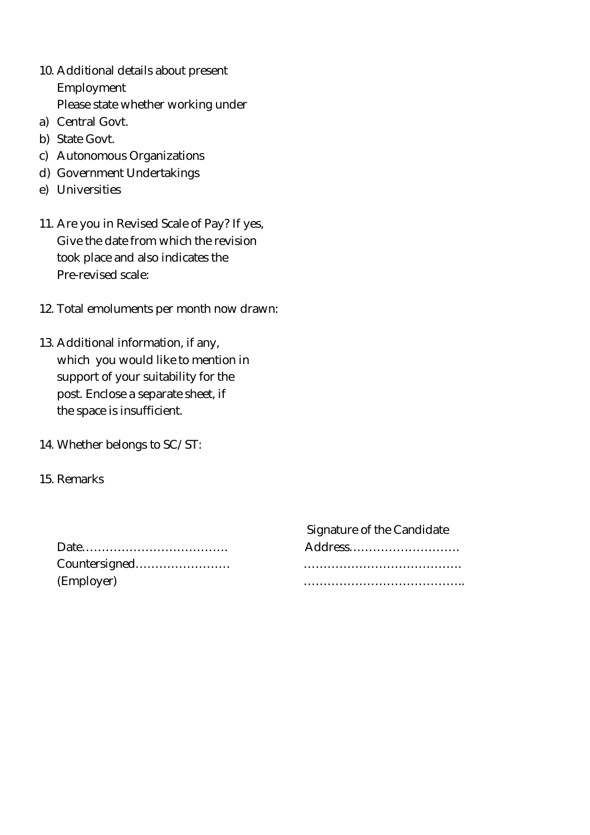- 10. Additional details about present Employment Please state whether working under
- a) Central Govt.
- b) State Govt.
- c) Autonomous Organizations
- d) Government Undertakings
- e) Universities
- 11. Are you in Revised Scale of Pay? If yes, Give the date from which the revision took place and also indicates the Pre-revised scale:
- 12. Total emoluments per month now drawn:
- 13. Additional information, if any, which you would like to mention in support of your suitability for the post. Enclose a separate sheet, if the space is insufficient.
- 14. Whether belongs to SC/ST:
- 15. Remarks

|               | Signature of the Candidate |
|---------------|----------------------------|
|               | Address                    |
| Countersigned |                            |
| (Employer)    |                            |